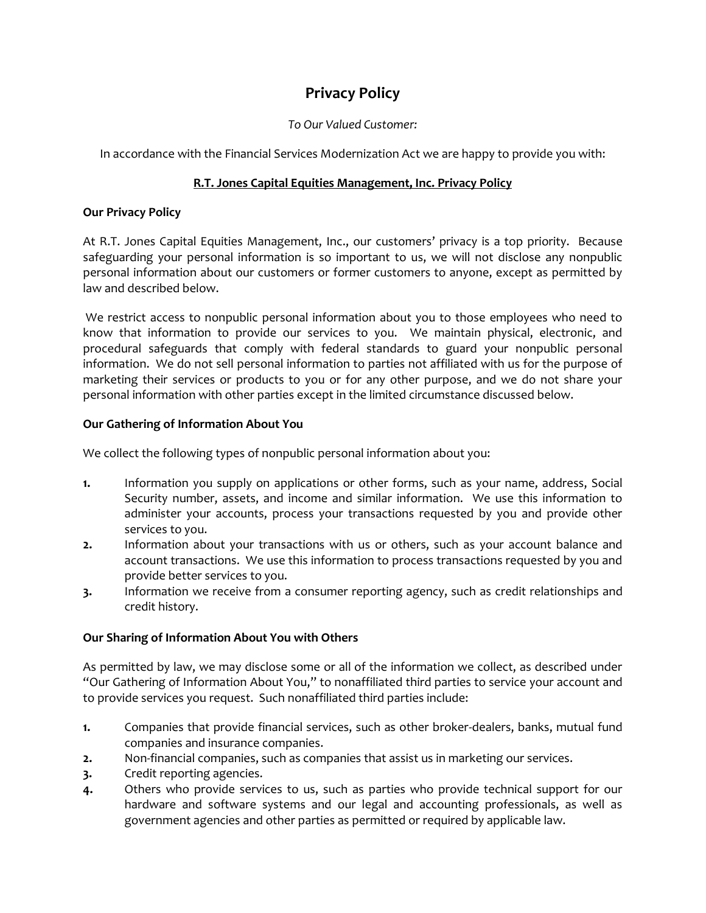# **Privacy Policy**

#### *To Our Valued Customer:*

In accordance with the Financial Services Modernization Act we are happy to provide you with:

## **R.T. Jones Capital Equities Management, Inc. Privacy Policy**

#### **Our Privacy Policy**

At R.T. Jones Capital Equities Management, Inc., our customers' privacy is a top priority. Because safeguarding your personal information is so important to us, we will not disclose any nonpublic personal information about our customers or former customers to anyone, except as permitted by law and described below.

We restrict access to nonpublic personal information about you to those employees who need to know that information to provide our services to you. We maintain physical, electronic, and procedural safeguards that comply with federal standards to guard your nonpublic personal information. We do not sell personal information to parties not affiliated with us for the purpose of marketing their services or products to you or for any other purpose, and we do not share your personal information with other parties except in the limited circumstance discussed below.

#### **Our Gathering of Information About You**

We collect the following types of nonpublic personal information about you:

- **1.** Information you supply on applications or other forms, such as your name, address, Social Security number, assets, and income and similar information. We use this information to administer your accounts, process your transactions requested by you and provide other services to you.
- **2.** Information about your transactions with us or others, such as your account balance and account transactions. We use this information to process transactions requested by you and provide better services to you.
- **3.** Information we receive from a consumer reporting agency, such as credit relationships and credit history.

### **Our Sharing of Information About You with Others**

As permitted by law, we may disclose some or all of the information we collect, as described under "Our Gathering of Information About You," to nonaffiliated third parties to service your account and to provide services you request. Such nonaffiliated third parties include:

- **1.** Companies that provide financial services, such as other broker-dealers, banks, mutual fund companies and insurance companies.
- **2.** Non-financial companies, such as companies that assist us in marketing our services.
- **3.** Credit reporting agencies.
- **4.** Others who provide services to us, such as parties who provide technical support for our hardware and software systems and our legal and accounting professionals, as well as government agencies and other parties as permitted or required by applicable law.